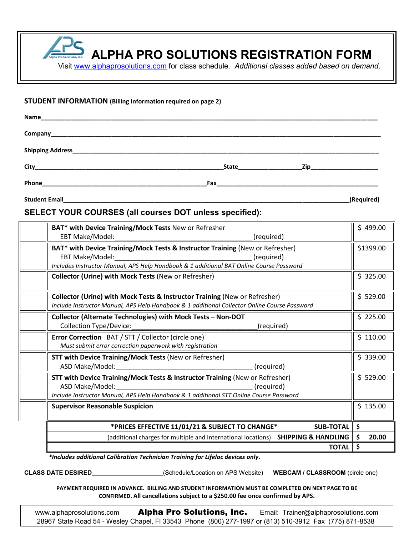**ALPHA PRO SOLUTIONS REGISTRATION FORM**

Visit [www.alphaprosolutions.com](http://www.alphaprosolutions.com/) for class schedule. *Additional classes added based on demand*.

#### **STUDENT INFORMATION (Billing Information required on page 2)**

| Name<br><u> 1999 - Johann Harry Harry Harry Harry Harry Harry Harry Harry Harry Harry Harry Harry Harry Harry Harry Harry</u> |                                |                          |
|-------------------------------------------------------------------------------------------------------------------------------|--------------------------------|--------------------------|
|                                                                                                                               |                                |                          |
|                                                                                                                               |                                |                          |
|                                                                                                                               | <b>State State State State</b> | <b>Zip Example 2 Zip</b> |
| Phone                                                                                                                         |                                |                          |

**Student Email\_\_\_\_\_\_\_\_\_\_\_\_\_\_\_\_\_\_\_\_\_\_\_\_\_\_\_\_\_\_\_\_\_\_\_\_\_\_\_\_\_\_\_\_\_\_\_\_\_\_\_\_\_\_\_\_\_\_\_\_\_\_\_\_\_\_\_\_\_\_\_\_\_\_\_\_\_\_\_\_\_\_\_\_\_(Required)**

## **SELECT YOUR COURSES (all courses DOT unless specified):**

| BAT* with Device Training/Mock Tests New or Refresher                                        | \$499.00     |  |
|----------------------------------------------------------------------------------------------|--------------|--|
| EBT Make/Model:<br>(required)                                                                |              |  |
| BAT* with Device Training/Mock Tests & Instructor Training (New or Refresher)                |              |  |
| EBT Make/Model:<br>(required)                                                                |              |  |
| Includes Instructor Manual, APS Help Handbook & 1 additional BAT Online Course Password      |              |  |
| <b>Collector (Urine) with Mock Tests (New or Refresher)</b>                                  | \$325.00     |  |
| Collector (Urine) with Mock Tests & Instructor Training (New or Refresher)                   | \$529.00     |  |
| Include Instructor Manual, APS Help Handbook & 1 additional Collector Online Course Password |              |  |
| Collector (Alternate Technologies) with Mock Tests - Non-DOT                                 | \$225.00     |  |
| Collection Type/Device:<br>(required)                                                        |              |  |
| Error Correction BAT / STT / Collector (circle one)                                          | \$110.00     |  |
| Must submit error correction paperwork with registration                                     |              |  |
| <b>STT with Device Training/Mock Tests (New or Refresher)</b>                                | \$339.00     |  |
| ASD Make/Model:<br>(required)                                                                |              |  |
| STT with Device Training/Mock Tests & Instructor Training (New or Refresher)                 | \$529.00     |  |
| ASD Make/Model:<br>(required)                                                                |              |  |
| Include Instructor Manual, APS Help Handbook & 1 additional STT Online Course Password       |              |  |
| <b>Supervisor Reasonable Suspicion</b>                                                       | \$135.00     |  |
| *PRICES EFFECTIVE 11/01/21 & SUBJECT TO CHANGE*<br><b>SUB-TOTAL</b>                          |              |  |
| (additional charges for multiple and international locations) SHIPPING & HANDLING            | 20.00        |  |
|                                                                                              | <b>TOTAL</b> |  |

*\*Includes additional Calibration Technician Training for Lifeloc devices only.*

**CLASS DATE DESIRED**\_\_\_\_\_\_\_\_\_\_\_\_\_\_\_\_\_\_\_\_\_(Schedule/Location on APS Website) **WEBCAM / CLASSROOM** (circle one)

**PAYMENT REQUIRED IN ADVANCE. BILLING AND STUDENT INFORMATION MUST BE COMPLETED ON NEXT PAGE TO BE CONFIRMED. All cancellations subject to a \$250.00 fee once confirmed by APS.** 

[www.alphaprosolutions.com](http://www.alphaprosolutions.com/) **Alpha Pro Solutions, Inc.** Email: [Trainer@alphaprosolutions.com](mailto:Trainer@alphaprosolutions.com) 28967 State Road 54 - Wesley Chapel, Fl 33543 Phone (800) 277-1997 or (813) 510-3912 Fax (775) 871-8538